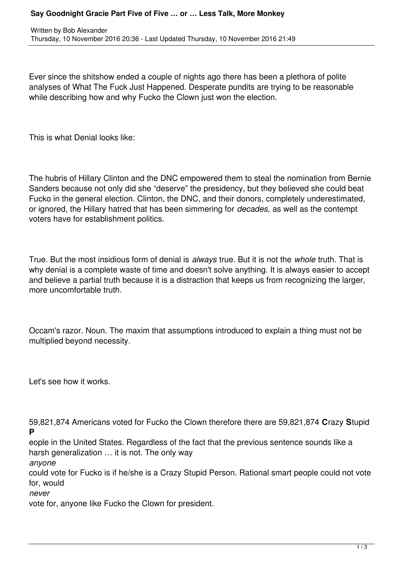## **Say Goodnight Gracie Part Five of Five … or … Less Talk, More Monkey**

Ever since the shitshow ended a couple of nights ago there has been a plethora of polite analyses of What The Fuck Just Happened. Desperate pundits are trying to be reasonable while describing how and why Fucko the Clown just won the election.

This is what Denial looks like:

The hubris of Hillary Clinton and the DNC empowered them to steal the nomination from Bernie Sanders because not only did she "deserve" the presidency, but they believed she could beat Fucko in the general election. Clinton, the DNC, and their donors, completely underestimated, or ignored, the Hillary hatred that has been simmering for *decades,* as well as the contempt voters have for establishment politics.

True. But the most insidious form of denial is *always* true. But it is not the *whole* truth. That is why denial is a complete waste of time and doesn't solve anything. It is always easier to accept and believe a partial truth because it is a distraction that keeps us from recognizing the larger, more uncomfortable truth.

Occam's razor. Noun. The maxim that assumptions introduced to explain a thing must not be multiplied beyond necessity.

Let's see how it works.

59,821,874 Americans voted for Fucko the Clown therefore there are 59,821,874 **C**razy **S**tupid **P**

eople in the United States. Regardless of the fact that the previous sentence sounds like a harsh generalization … it is not. The only way

*anyone* 

could vote for Fucko is if he/she is a Crazy Stupid Person. Rational smart people could not vote for, would

*never*

vote for, anyone like Fucko the Clown for president.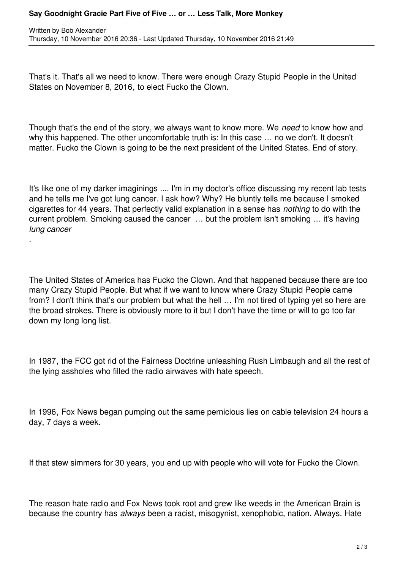## **Say Goodnight Gracie Part Five of Five … or … Less Talk, More Monkey**

.

That's it. That's all we need to know. There were enough Crazy Stupid People in the United States on November 8, 2016, to elect Fucko the Clown.

Though that's the end of the story, we always want to know more. We *need* to know how and why this happened. The other uncomfortable truth is: In this case ... no we don't. It doesn't matter. Fucko the Clown is going to be the next president of the United States. End of story.

It's like one of my darker imaginings .... I'm in my doctor's office discussing my recent lab tests and he tells me I've got lung cancer. I ask how? Why? He bluntly tells me because I smoked cigarettes for 44 years. That perfectly valid explanation in a sense has *nothing* to do with the current problem. Smoking caused the cancer … but the problem isn't smoking … it's having *lung cancer*

The United States of America has Fucko the Clown. And that happened because there are too many Crazy Stupid People. But what if we want to know where Crazy Stupid People came from? I don't think that's our problem but what the hell … I'm not tired of typing yet so here are the broad strokes. There is obviously more to it but I don't have the time or will to go too far down my long long list.

In 1987, the FCC got rid of the Fairness Doctrine unleashing Rush Limbaugh and all the rest of the lying assholes who filled the radio airwaves with hate speech.

In 1996, Fox News began pumping out the same pernicious lies on cable television 24 hours a day, 7 days a week.

If that stew simmers for 30 years, you end up with people who will vote for Fucko the Clown.

The reason hate radio and Fox News took root and grew like weeds in the American Brain is because the country has *always* been a racist, misogynist, xenophobic, nation. Always. Hate